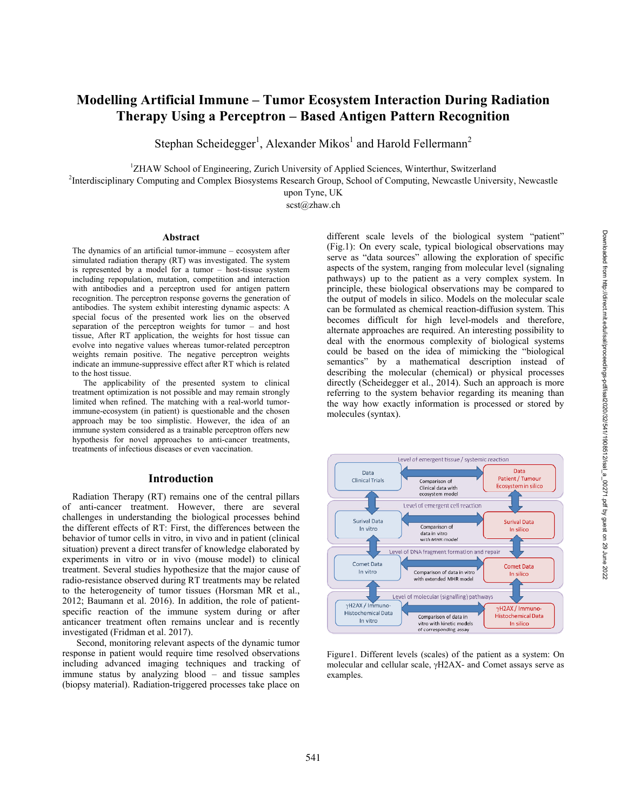# **Modelling Artificial Immune – Tumor Ecosystem Interaction During Radiation Therapy Using a Perceptron – Based Antigen Pattern Recognition**

Stephan Scheidegger<sup>1</sup>, Alexander Mikos<sup>1</sup> and Harold Fellermann<sup>2</sup>

<sup>1</sup>ZHAW School of Engineering, Zurich University of Applied Sciences, Winterthur, Switzerland

<sup>2</sup>Interdisciplinary Computing and Complex Biosystems Research Group, School of Computing, Newcastle University, Newcastle

upon Tyne, UK

scst@zhaw.ch

#### **Abstract**

The dynamics of an artificial tumor-immune – ecosystem after simulated radiation therapy (RT) was investigated. The system is represented by a model for a tumor – host-tissue system including repopulation, mutation, competition and interaction with antibodies and a perceptron used for antigen pattern recognition. The perceptron response governs the generation of antibodies. The system exhibit interesting dynamic aspects: A special focus of the presented work lies on the observed separation of the perceptron weights for tumor – and host tissue, After RT application, the weights for host tissue can evolve into negative values whereas tumor-related perceptron weights remain positive. The negative perceptron weights indicate an immune-suppressive effect after RT which is related to the host tissue.

 The applicability of the presented system to clinical treatment optimization is not possible and may remain strongly limited when refined. The matching with a real-world tumorimmune-ecosystem (in patient) is questionable and the chosen approach may be too simplistic. However, the idea of an immune system considered as a trainable perceptron offers new hypothesis for novel approaches to anti-cancer treatments, treatments of infectious diseases or even vaccination.

#### **Introduction**

 Radiation Therapy (RT) remains one of the central pillars of anti-cancer treatment. However, there are several challenges in understanding the biological processes behind the different effects of RT: First, the differences between the behavior of tumor cells in vitro, in vivo and in patient (clinical situation) prevent a direct transfer of knowledge elaborated by experiments in vitro or in vivo (mouse model) to clinical treatment. Several studies hypothesize that the major cause of radio-resistance observed during RT treatments may be related to the heterogeneity of tumor tissues (Horsman MR et al., 2012; Baumann et al. 2016). In addition, the role of patientspecific reaction of the immune system during or after anticancer treatment often remains unclear and is recently investigated (Fridman et al. 2017).

 Second, monitoring relevant aspects of the dynamic tumor response in patient would require time resolved observations including advanced imaging techniques and tracking of immune status by analyzing blood – and tissue samples (biopsy material). Radiation-triggered processes take place on different scale levels of the biological system "patient" (Fig.1): On every scale, typical biological observations may serve as "data sources" allowing the exploration of specific aspects of the system, ranging from molecular level (signaling pathways) up to the patient as a very complex system. In principle, these biological observations may be compared to the output of models in silico. Models on the molecular scale can be formulated as chemical reaction-diffusion system. This becomes difficult for high level-models and therefore, alternate approaches are required. An interesting possibility to deal with the enormous complexity of biological systems could be based on the idea of mimicking the "biological semantics" by a mathematical description instead of describing the molecular (chemical) or physical processes directly (Scheidegger et al., 2014). Such an approach is more referring to the system behavior regarding its meaning than the way how exactly information is processed or stored by molecules (syntax).



Figure1. Different levels (scales) of the patient as a system: On molecular and cellular scale, H2AX- and Comet assays serve as examples.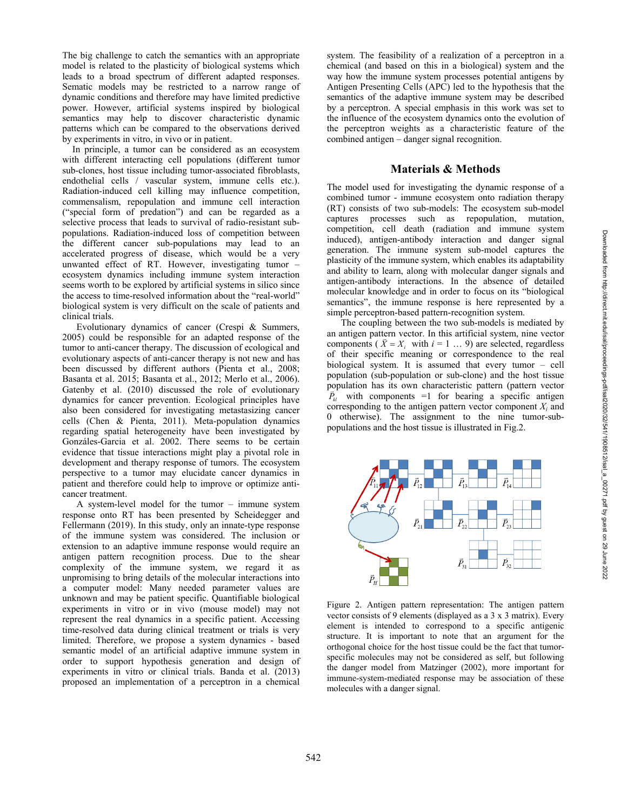The big challenge to catch the semantics with an appropriate model is related to the plasticity of biological systems which leads to a broad spectrum of different adapted responses. Sematic models may be restricted to a narrow range of dynamic conditions and therefore may have limited predictive power. However, artificial systems inspired by biological semantics may help to discover characteristic dynamic patterns which can be compared to the observations derived by experiments in vitro, in vivo or in patient.

 In principle, a tumor can be considered as an ecosystem with different interacting cell populations (different tumor sub-clones, host tissue including tumor-associated fibroblasts, endothelial cells / vascular system, immune cells etc.). Radiation-induced cell killing may influence competition, commensalism, repopulation and immune cell interaction ("special form of predation") and can be regarded as a selective process that leads to survival of radio-resistant subpopulations. Radiation-induced loss of competition between the different cancer sub-populations may lead to an accelerated progress of disease, which would be a very unwanted effect of RT. However, investigating tumor – ecosystem dynamics including immune system interaction seems worth to be explored by artificial systems in silico since the access to time-resolved information about the "real-world" biological system is very difficult on the scale of patients and clinical trials.

 Evolutionary dynamics of cancer (Crespi & Summers, 2005) could be responsible for an adapted response of the tumor to anti-cancer therapy. The discussion of ecological and evolutionary aspects of anti-cancer therapy is not new and has been discussed by different authors (Pienta et al., 2008; Basanta et al. 2015; Basanta et al., 2012; Merlo et al., 2006). Gatenby et al. (2010) discussed the role of evolutionary dynamics for cancer prevention. Ecological principles have also been considered for investigating metastasizing cancer cells (Chen & Pienta, 2011). Meta-population dynamics regarding spatial heterogeneity have been investigated by Gonzáles-Garcia et al. 2002. There seems to be certain evidence that tissue interactions might play a pivotal role in development and therapy response of tumors. The ecosystem perspective to a tumor may elucidate cancer dynamics in patient and therefore could help to improve or optimize anticancer treatment.

 A system-level model for the tumor – immune system response onto RT has been presented by Scheidegger and Fellermann (2019). In this study, only an innate-type response of the immune system was considered. The inclusion or extension to an adaptive immune response would require an antigen pattern recognition process. Due to the shear complexity of the immune system, we regard it as unpromising to bring details of the molecular interactions into a computer model: Many needed parameter values are unknown and may be patient specific. Quantifiable biological experiments in vitro or in vivo (mouse model) may not represent the real dynamics in a specific patient. Accessing time-resolved data during clinical treatment or trials is very limited. Therefore, we propose a system dynamics - based semantic model of an artificial adaptive immune system in order to support hypothesis generation and design of experiments in vitro or clinical trials. Banda et al. (2013) proposed an implementation of a perceptron in a chemical system. The feasibility of a realization of a perceptron in a chemical (and based on this in a biological) system and the way how the immune system processes potential antigens by Antigen Presenting Cells (APC) led to the hypothesis that the semantics of the adaptive immune system may be described by a perceptron. A special emphasis in this work was set to the influence of the ecosystem dynamics onto the evolution of the perceptron weights as a characteristic feature of the combined antigen – danger signal recognition.

#### **Materials & Methods**

The model used for investigating the dynamic response of a combined tumor - immune ecosystem onto radiation therapy (RT) consists of two sub-models: The ecosystem sub-model captures processes such as repopulation, mutation, competition, cell death (radiation and immune system induced), antigen-antibody interaction and danger signal generation. The immune system sub-model captures the plasticity of the immune system, which enables its adaptability and ability to learn, along with molecular danger signals and antigen-antibody interactions. In the absence of detailed molecular knowledge and in order to focus on its "biological semantics", the immune response is here represented by a simple perceptron-based pattern-recognition system.

 The coupling between the two sub-models is mediated by an antigen pattern vector. In this artificial system, nine vector an anugen pattern vector. In this artificial system, nine vector components ( $\overline{X} = X_i$  with  $i = 1 ... 9$ ) are selected, regardless of their specific meaning or correspondence to the real biological system. It is assumed that every tumor – cell population (sub-population or sub-clone) and the host tissue population has its own characteristic pattern (pattern vector  $\vec{P}_{\mu}$  with components =1 for bearing a specific antigen corresponding to the antigen pattern vector component  $X_i$  and 0 otherwise). The assignment to the nine tumor-subpopulations and the host tissue is illustrated in Fig.2.



Figure 2. Antigen pattern representation: The antigen pattern vector consists of 9 elements (displayed as a 3 x 3 matrix). Every element is intended to correspond to a specific antigenic structure. It is important to note that an argument for the orthogonal choice for the host tissue could be the fact that tumorspecific molecules may not be considered as self, but following the danger model from Matzinger (2002), more important for immune-system-mediated response may be association of these molecules with a danger signal.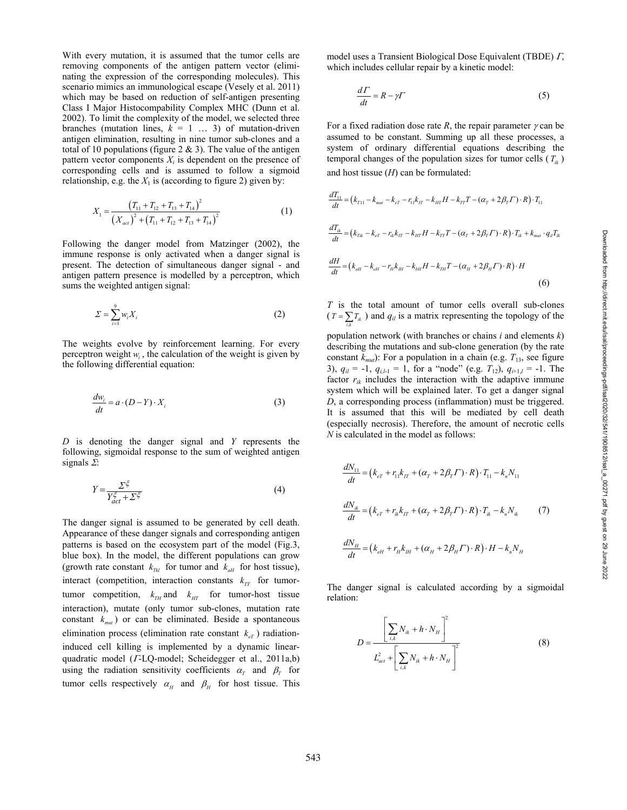With every mutation, it is assumed that the tumor cells are removing components of the antigen pattern vector (eliminating the expression of the corresponding molecules). This scenario mimics an immunological escape (Vesely et al. 2011) which may be based on reduction of self-antigen presenting Class I Major Histocompability Complex MHC (Dunn et al. 2002). To limit the complexity of the model, we selected three branches (mutation lines,  $k = 1$  ... 3) of mutation-driven antigen elimination, resulting in nine tumor sub-clones and a total of 10 populations (figure 2  $\&$  3). The value of the antigen pattern vector components  $X_i$  is dependent on the presence of corresponding cells and is assumed to follow a sigmoid relationship, e.g. the  $X_1$  is (according to figure 2) given by:

$$
X_1 = \frac{\left(T_{11} + T_{12} + T_{13} + T_{14}\right)^2}{\left(X_{act}\right)^2 + \left(T_{11} + T_{12} + T_{13} + T_{14}\right)^2}
$$
\n(1)

Following the danger model from Matzinger (2002), the immune response is only activated when a danger signal is present. The detection of simultaneous danger signal - and antigen pattern presence is modelled by a perceptron, which sums the weighted antigen signal:

$$
\Sigma = \sum_{i=1}^{9} w_i X_i \tag{2}
$$

The weights evolve by reinforcement learning. For every perceptron weight  $w_i$ , the calculation of the weight is given by the following differential equation:

$$
\frac{dw_i}{dt} = a \cdot (D - Y) \cdot X_i \tag{3}
$$

*D* is denoting the danger signal and *Y* represents the following, sigmoidal response to the sum of weighted antigen signals  $\Sigma$ :

$$
Y = \frac{\sum \xi}{Y_{act}^{\xi} + \sum \xi} \tag{4}
$$

The danger signal is assumed to be generated by cell death. Appearance of these danger signals and corresponding antigen patterns is based on the ecosystem part of the model (Fig.3, blue box). In the model, the different populations can grow (growth rate constant  $k_{\text{TH}}$  for tumor and  $k_{\text{dH}}$  for host tissue), interact (competition, interaction constants  $k_{TT}$  for tumortumor competition,  $k_{TH}$  and  $k_{HT}$  for tumor-host tissue interaction), mutate (only tumor sub-clones, mutation rate constant  $k_{mut}$ ) or can be eliminated. Beside a spontaneous elimination process (elimination rate constant  $k_{\epsilon T}$ ) radiationinduced cell killing is implemented by a dynamic linearquadratic model ( $I$ -LQ-model; Scheidegger et al., 2011a,b) using the radiation sensitivity coefficients  $\alpha_T$  and  $\beta_T$  for tumor cells respectively  $\alpha_{H}$  and  $\beta_{H}$  for host tissue. This

model uses a Transient Biological Dose Equivalent (TBDE)  $\Gamma$ , which includes cellular repair by a kinetic model:

$$
\frac{d\Gamma}{dt} = R - \gamma \Gamma \tag{5}
$$

For a fixed radiation dose rate  $R$ , the repair parameter  $\gamma$  can be assumed to be constant. Summing up all these processes, a system of ordinary differential equations describing the temporal changes of the population sizes for tumor cells  $(T_{ik})$ and host tissue (*H*) can be formulated:

$$
\frac{dT_{11}}{dt} = (k_{T11} - k_{mut} - k_{eT} - r_{11}k_{IT} - k_{HT}H - k_{TT}T - (\alpha_T + 2\beta_T \Gamma) \cdot R) \cdot T_{11}
$$
\n
$$
\frac{dT_{ik}}{dt} = (k_{Tk} - k_{eT} - r_{ik}k_{IT} - k_{HT}H - k_{TT}T - (\alpha_T + 2\beta_T \Gamma) \cdot R) \cdot T_{ik} + k_{mut} \cdot q_{il}T_{ik}
$$
\n
$$
\frac{dH}{dt} = (k_{att} - k_{eH} - r_{it}k_{IH} - k_{bH}H - k_{TH}T - (\alpha_H + 2\beta_H \Gamma) \cdot R) \cdot H
$$
\n(6)

*T* is the total amount of tumor cells overall sub-clones  $(T = \sum_{i,k} T_{ik})$  and  $q_{il}$  is a matrix representing the topology of the

population network (with branches or chains *i* and elements *k*) describing the mutations and sub-clone generation (by the rate constant  $k_{mut}$ ): For a population in a chain (e.g.  $T_{13}$ , see figure 3),  $q_{il} = -1$ ,  $q_{i,l-1} = 1$ , for a "node" (e.g.  $T_{12}$ ),  $q_{i+1,l} = -1$ . The factor  $r_{ik}$  includes the interaction with the adaptive immune system which will be explained later. To get a danger signal *D*, a corresponding process (inflammation) must be triggered. It is assumed that this will be mediated by cell death (especially necrosis). Therefore, the amount of necrotic cells *N* is calculated in the model as follows:

$$
\frac{dN_{11}}{dt} = (k_{eT} + r_{11}k_{IT} + (\alpha_T + 2\beta_T \Gamma) \cdot R) \cdot T_{11} - k_n N_{11}
$$
\n
$$
\frac{dN_{ik}}{dt} = (k_{eT} + r_{ik}k_{IT} + (\alpha_T + 2\beta_T \Gamma) \cdot R) \cdot T_{ik} - k_n N_{ik} \tag{7}
$$
\n
$$
\frac{dN_{H}}{dt} = (k_{eH} + r_{H}k_{IH} + (\alpha_H + 2\beta_H \Gamma) \cdot R) \cdot H - k_n N_{H}
$$

The danger signal is calculated according by a sigmoidal relation:

$$
D = \frac{\left[\sum_{i,k} N_{ik} + h \cdot N_{H}\right]^{2}}{L_{act}^{2} + \left[\sum_{i,k} N_{ik} + h \cdot N_{H}\right]^{2}}
$$
(8)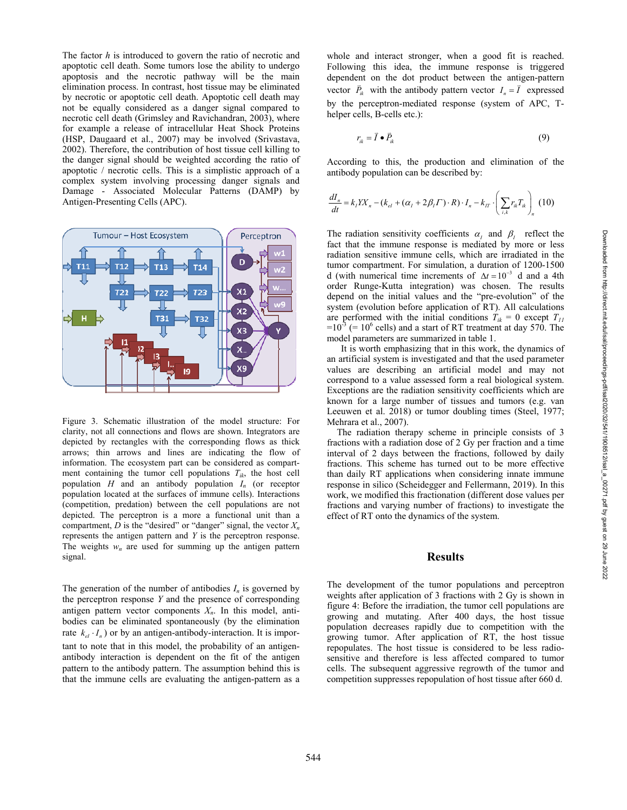The factor *h* is introduced to govern the ratio of necrotic and apoptotic cell death. Some tumors lose the ability to undergo apoptosis and the necrotic pathway will be the main elimination process. In contrast, host tissue may be eliminated by necrotic or apoptotic cell death. Apoptotic cell death may not be equally considered as a danger signal compared to necrotic cell death (Grimsley and Ravichandran, 2003), where for example a release of intracellular Heat Shock Proteins (HSP, Daugaard et al., 2007) may be involved (Srivastava, 2002). Therefore, the contribution of host tissue cell killing to the danger signal should be weighted according the ratio of apoptotic / necrotic cells. This is a simplistic approach of a complex system involving processing danger signals and Damage - Associated Molecular Patterns (DAMP) by Antigen-Presenting Cells (APC).



Figure 3. Schematic illustration of the model structure: For clarity, not all connections and flows are shown. Integrators are depicted by rectangles with the corresponding flows as thick arrows; thin arrows and lines are indicating the flow of information. The ecosystem part can be considered as compartment containing the tumor cell populations  $T_{ik}$ , the host cell population *H* and an antibody population *In* (or receptor population located at the surfaces of immune cells). Interactions (competition, predation) between the cell populations are not depicted. The perceptron is a more a functional unit than a compartment,  $D$  is the "desired" or "danger" signal, the vector  $X_n$ represents the antigen pattern and *Y* is the perceptron response. The weights  $w_n$  are used for summing up the antigen pattern signal.

The generation of the number of antibodies  $I_n$  is governed by the perceptron response *Y* and the presence of corresponding antigen pattern vector components  $X_n$ . In this model, antibodies can be eliminated spontaneously (by the elimination rate  $k_{el} \cdot I_n$ ) or by an antigen-antibody-interaction. It is important to note that in this model, the probability of an antigenantibody interaction is dependent on the fit of the antigen pattern to the antibody pattern. The assumption behind this is that the immune cells are evaluating the antigen-pattern as a

$$
r_{ik} = \vec{I} \bullet \vec{P}_{ik} \tag{9}
$$

According to this, the production and elimination of the antibody population can be described by:

$$
\frac{dI_n}{dt} = k_I Y X_n - (k_{el} + (\alpha_I + 2\beta_I \Gamma) \cdot R) \cdot I_n - k_{IT} \cdot \left(\sum_{i,k} r_{ik} T_{ik}\right)_n (10)
$$

The radiation sensitivity coefficients  $\alpha_i$  and  $\beta_i$  reflect the fact that the immune response is mediated by more or less radiation sensitive immune cells, which are irradiated in the tumor compartment. For simulation, a duration of 1200-1500 d (with numerical time increments of  $\Delta t = 10^{-3}$  d and a 4th order Runge-Kutta integration) was chosen. The results depend on the initial values and the "pre-evolution" of the system (evolution before application of RT). All calculations are performed with the initial conditions  $T_{ik} = 0$  except  $T_{11}$  $=10^{-3}$  (= 10<sup>6</sup> cells) and a start of RT treatment at day 570. The model parameters are summarized in table 1.

 It is worth emphasizing that in this work, the dynamics of an artificial system is investigated and that the used parameter values are describing an artificial model and may not correspond to a value assessed form a real biological system. Exceptions are the radiation sensitivity coefficients which are known for a large number of tissues and tumors (e.g. van Leeuwen et al. 2018) or tumor doubling times (Steel, 1977; Mehrara et al., 2007).

 The radiation therapy scheme in principle consists of 3 fractions with a radiation dose of 2 Gy per fraction and a time interval of 2 days between the fractions, followed by daily fractions. This scheme has turned out to be more effective than daily RT applications when considering innate immune response in silico (Scheidegger and Fellermann, 2019). In this work, we modified this fractionation (different dose values per fractions and varying number of fractions) to investigate the effect of RT onto the dynamics of the system.

## **Results**

The development of the tumor populations and perceptron weights after application of 3 fractions with 2 Gy is shown in figure 4: Before the irradiation, the tumor cell populations are growing and mutating. After 400 days, the host tissue population decreases rapidly due to competition with the growing tumor. After application of RT, the host tissue repopulates. The host tissue is considered to be less radiosensitive and therefore is less affected compared to tumor cells. The subsequent aggressive regrowth of the tumor and competition suppresses repopulation of host tissue after 660 d.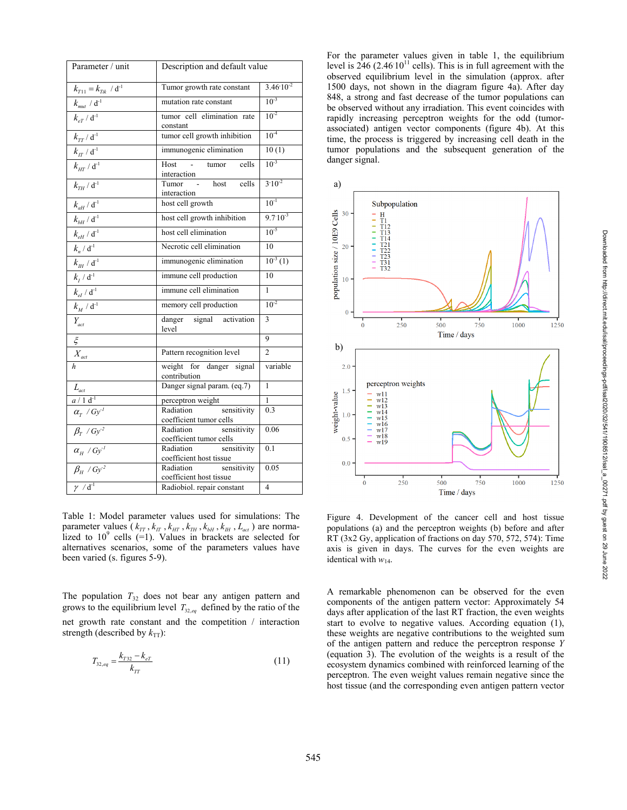| Parameter / unit                                           | Description and default value                       |                         |
|------------------------------------------------------------|-----------------------------------------------------|-------------------------|
| $k_{T11} = k_{Tik} / d^{-1}$                               | Tumor growth rate constant                          | $3.46 \cdot 10^{-2}$    |
| $k_{\text{mut}}$ / $\overline{d^{\text{-}1}}$              | mutation rate constant                              | $10^{-3}$               |
| $k_{eT}$ / $d^{-1}$                                        | tumor cell elimination rate<br>constant             | $10^{-2}$               |
| $k_{TT}$ / $d^{-1}$                                        | tumor cell growth inhibition                        | $10^{-4}$               |
| $k_{\rm\scriptscriptstyle IT}$ / $\mathrm{d}^{\text{-1}}$  | immunogenic elimination                             | 10(1)                   |
| $k_{\mu\tau}$ / $\mathrm{d}^{\text{-1}}$                   | Host -<br>cells<br>tumor<br>interaction             | $10^{-3}$               |
| $k_{\tau H}$ / $d^{-1}$                                    | host<br>cells<br>Tumor<br>interaction               | $3.10^{-2}$             |
| $k_{aH}^{\, a} / d^{-1}$                                   | host cell growth                                    | $10^{-1}$               |
| $k_{bH}^{\text{}}$ / $d^{-1}$                              | host cell growth inhibition                         | $9.7 \cdot 10^{-3}$     |
| $k_{eH}$ / $d^{-1}$                                        | host cell elimination                               | $10^{-5}$               |
| $k_n/d^{-1}$                                               | Necrotic cell elimination                           | 10                      |
| $k_{\rm \scriptscriptstyle HI}$ / $\mathrm{d}^{\text{-1}}$ | immunogenic elimination                             | $10^{-3}(1)$            |
| $k_{I}$ / $d^{-1}$                                         | immune cell production                              | 10                      |
| $k_{el}$ / $d^{-1}$                                        | immune cell elimination                             | $\mathbf{1}$            |
| $k_M / d^{-1}$                                             | memory cell production                              | $10^{-2}$               |
| $Y_{act}$                                                  | danger signal<br>activation<br>level                | 3                       |
| $\xi$                                                      |                                                     | 9                       |
| $X_{act}$                                                  | Pattern recognition level                           | $\mathfrak{D}$          |
| $\boldsymbol{h}$                                           | weight for danger signal<br>contribution            | variable                |
| $\frac{L_{act}}{a/1 d^1}$<br>$\frac{a}{\alpha_T}/Gy^1$     | Danger signal param. (eq.7)                         | 1                       |
|                                                            | perceptron weight                                   | 1                       |
|                                                            | sensitivity<br>Radiation<br>coefficient tumor cells | 0.3                     |
| $\beta$ <sub>r</sub> / Gy <sup>-2</sup>                    | sensitivity<br>Radiation<br>coefficient tumor cells | 0.06                    |
| $\alpha_{_H}$ / $Gy^I$                                     | Radiation<br>sensitivity<br>coefficient host tissue | 0.1                     |
| $\beta_H \; / \; G y^2$                                    | Radiation<br>sensitivity<br>coefficient host tissue | 0.05                    |
| $\gamma / d^{-1}$                                          | Radiobiol. repair constant                          | $\overline{\mathbf{4}}$ |

Table 1: Model parameter values used for simulations: The parameter values  $(k_{TT}, k_{TT}, k_{HT}, k_{TH}, k_{bH}, k_{HH}, L_{act})$  are normalized to  $10^9$  cells  $(=1)$ . Values in brackets are selected for alternatives scenarios, some of the parameters values have been varied (s. figures 5-9).

The population  $T_{32}$  does not bear any antigen pattern and grows to the equilibrium level  $T_{32,eq}$  defined by the ratio of the net growth rate constant and the competition / interaction strength (described by  $k_{TT}$ ):

$$
T_{32,eq} = \frac{k_{T32} - k_{eT}}{k_{TT}}\tag{11}
$$

For the parameter values given in table 1, the equilibrium level is  $246 (2.4610^{11}$  cells). This is in full agreement with the observed equilibrium level in the simulation (approx. after 1500 days, not shown in the diagram figure 4a). After day 848, a strong and fast decrease of the tumor populations can be observed without any irradiation. This event coincides with rapidly increasing perceptron weights for the odd (tumorassociated) antigen vector components (figure 4b). At this time, the process is triggered by increasing cell death in the tumor populations and the subsequent generation of the danger signal.



Figure 4. Development of the cancer cell and host tissue populations (a) and the perceptron weights (b) before and after RT (3x2 Gy, application of fractions on day 570, 572, 574): Time axis is given in days. The curves for the even weights are identical with  $w_{14}$ .

A remarkable phenomenon can be observed for the even components of the antigen pattern vector: Approximately 54 days after application of the last RT fraction, the even weights start to evolve to negative values. According equation (1), these weights are negative contributions to the weighted sum of the antigen pattern and reduce the perceptron response *Y* (equation 3). The evolution of the weights is a result of the ecosystem dynamics combined with reinforced learning of the perceptron. The even weight values remain negative since the host tissue (and the corresponding even antigen pattern vector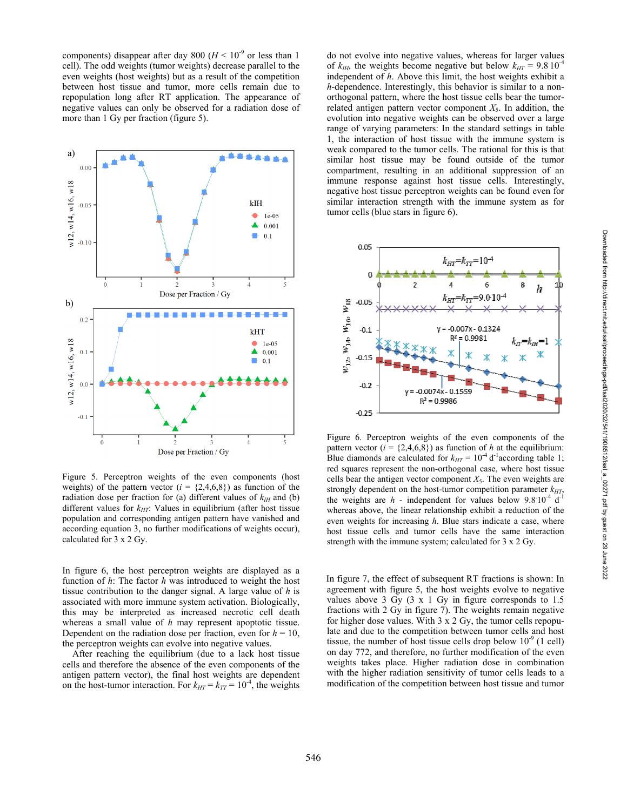components) disappear after day 800 ( $H < 10^{-9}$  or less than 1 cell). The odd weights (tumor weights) decrease parallel to the even weights (host weights) but as a result of the competition between host tissue and tumor, more cells remain due to repopulation long after RT application. The appearance of negative values can only be observed for a radiation dose of more than 1 Gy per fraction (figure 5).



Figure 5. Perceptron weights of the even components (host weights) of the pattern vector  $(i = \{2,4,6,8\})$  as function of the radiation dose per fraction for (a) different values of  $k_{\text{III}}$  and (b) different values for  $k_{HT}$ : Values in equilibrium (after host tissue population and corresponding antigen pattern have vanished and according equation 3, no further modifications of weights occur), calculated for 3 x 2 Gy.

In figure 6, the host perceptron weights are displayed as a function of *h*: The factor *h* was introduced to weight the host tissue contribution to the danger signal. A large value of *h* is associated with more immune system activation. Biologically, this may be interpreted as increased necrotic cell death whereas a small value of *h* may represent apoptotic tissue. Dependent on the radiation dose per fraction, even for  $h = 10$ , the perceptron weights can evolve into negative values.

 After reaching the equilibrium (due to a lack host tissue cells and therefore the absence of the even components of the antigen pattern vector), the final host weights are dependent on the host-tumor interaction. For  $k_{HT} = k_{TT} = 10^{-4}$ , the weights do not evolve into negative values, whereas for larger values of  $k_{HH}$ , the weights become negative but below  $k_{HT} = 9.8 \times 10^{-4}$ independent of *h*. Above this limit, the host weights exhibit a *h*-dependence. Interestingly, this behavior is similar to a nonorthogonal pattern, where the host tissue cells bear the tumorrelated antigen pattern vector component  $X_5$ . In addition, the evolution into negative weights can be observed over a large range of varying parameters: In the standard settings in table 1, the interaction of host tissue with the immune system is weak compared to the tumor cells. The rational for this is that similar host tissue may be found outside of the tumor compartment, resulting in an additional suppression of an immune response against host tissue cells. Interestingly, negative host tissue perceptron weights can be found even for similar interaction strength with the immune system as for tumor cells (blue stars in figure 6).



Figure 6. Perceptron weights of the even components of the pattern vector  $(i = \{2, 4, 6, 8\})$  as function of h at the equilibrium: Blue diamonds are calculated for  $k_{HT} = 10^{-4} d^{-1}$  according table 1; red squares represent the non-orthogonal case, where host tissue cells bear the antigen vector component  $X_5$ . The even weights are strongly dependent on the host-tumor competition parameter  $k_{HT}$ , the weights are  $h$  - independent for values below  $9.8 \times 10^{-4}$  d<sup>-1</sup> whereas above, the linear relationship exhibit a reduction of the even weights for increasing *h*. Blue stars indicate a case, where host tissue cells and tumor cells have the same interaction strength with the immune system; calculated for 3 x 2 Gy.

In figure 7, the effect of subsequent RT fractions is shown: In agreement with figure 5, the host weights evolve to negative values above 3 Gy (3 x 1 Gy in figure corresponds to 1.5 fractions with 2 Gy in figure 7). The weights remain negative for higher dose values. With 3 x 2 Gy, the tumor cells repopulate and due to the competition between tumor cells and host tissue, the number of host tissue cells drop below  $10^{-9}$  (1 cell) on day 772, and therefore, no further modification of the even weights takes place. Higher radiation dose in combination with the higher radiation sensitivity of tumor cells leads to a modification of the competition between host tissue and tumor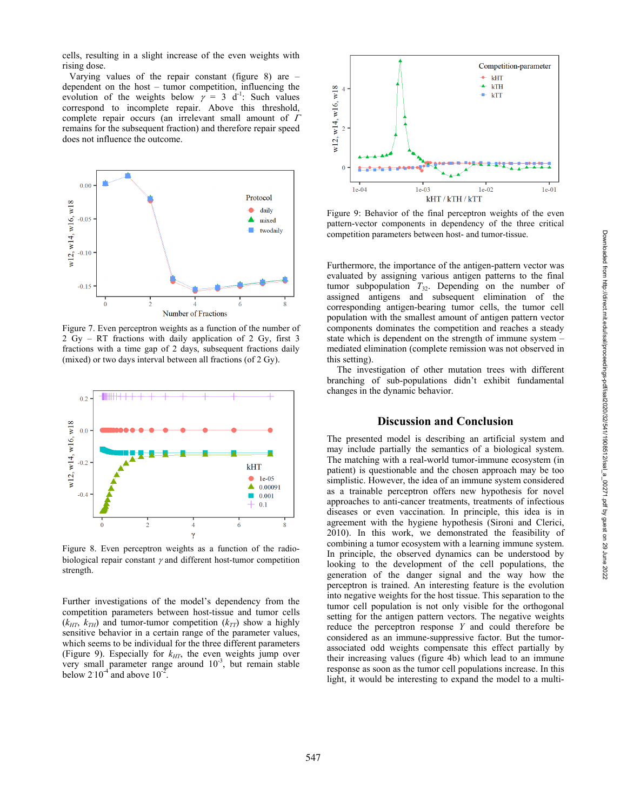Downloaded from http://direct.mit.edu/isal/proceedings-pdf/isal2020/32/541/1908512/isal\_a\_00271.pdf by guest on 29 June 2022

Downloaded from http://direct.mit.edu/isal/proceedings-pdf/isal2020/32/541/1908512/isal\_a\_00271.pdf by guest on 29 June 2022

cells, resulting in a slight increase of the even weights with rising dose.

Varying values of the repair constant (figure 8) are  $$ dependent on the host – tumor competition, influencing the evolution of the weights below  $\gamma = 3$  d<sup>-1</sup>: Such values correspond to incomplete repair. Above this threshold, complete repair occurs (an irrelevant small amount of  $\Gamma$ remains for the subsequent fraction) and therefore repair speed does not influence the outcome.



Figure 7. Even perceptron weights as a function of the number of 2 Gy – RT fractions with daily application of 2 Gy, first 3 fractions with a time gap of 2 days, subsequent fractions daily (mixed) or two days interval between all fractions (of 2 Gy).



Figure 8. Even perceptron weights as a function of the radiobiological repair constant  $\gamma$  and different host-tumor competition strength.

Further investigations of the model's dependency from the competition parameters between host-tissue and tumor cells  $(k_{HT}, k_{TH})$  and tumor-tumor competition  $(k_{TT})$  show a highly sensitive behavior in a certain range of the parameter values, which seems to be individual for the three different parameters (Figure 9). Especially for  $k_{HT}$ , the even weights jump over very small parameter range around  $10^{-3}$ , but remain stable below  $2.10^{-4}$  and above  $10^{-2}$ .



Figure 9: Behavior of the final perceptron weights of the even pattern-vector components in dependency of the three critical competition parameters between host- and tumor-tissue.

Furthermore, the importance of the antigen-pattern vector was evaluated by assigning various antigen patterns to the final tumor subpopulation  $T_{32}$ . Depending on the number of assigned antigens and subsequent elimination of the corresponding antigen-bearing tumor cells, the tumor cell population with the smallest amount of antigen pattern vector components dominates the competition and reaches a steady state which is dependent on the strength of immune system – mediated elimination (complete remission was not observed in this setting).

 The investigation of other mutation trees with different branching of sub-populations didn't exhibit fundamental changes in the dynamic behavior.

## **Discussion and Conclusion**

The presented model is describing an artificial system and may include partially the semantics of a biological system. The matching with a real-world tumor-immune ecosystem (in patient) is questionable and the chosen approach may be too simplistic. However, the idea of an immune system considered as a trainable perceptron offers new hypothesis for novel approaches to anti-cancer treatments, treatments of infectious diseases or even vaccination. In principle, this idea is in agreement with the hygiene hypothesis (Sironi and Clerici, 2010). In this work, we demonstrated the feasibility of combining a tumor ecosystem with a learning immune system. In principle, the observed dynamics can be understood by looking to the development of the cell populations, the generation of the danger signal and the way how the perceptron is trained. An interesting feature is the evolution into negative weights for the host tissue. This separation to the tumor cell population is not only visible for the orthogonal setting for the antigen pattern vectors. The negative weights reduce the perceptron response *Y* and could therefore be considered as an immune-suppressive factor. But the tumorassociated odd weights compensate this effect partially by their increasing values (figure 4b) which lead to an immune response as soon as the tumor cell populations increase. In this light, it would be interesting to expand the model to a multi